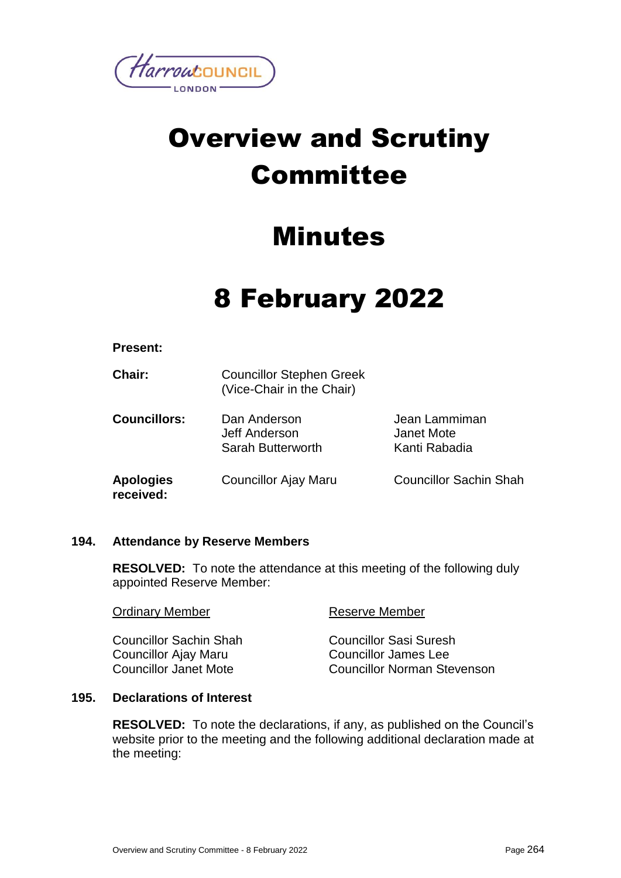

# Overview and Scrutiny Committee

# Minutes

# 8 February 2022

| <b>Present:</b> |  |
|-----------------|--|
|-----------------|--|

| <b>Chair:</b>                 | <b>Councillor Stephen Greek</b><br>(Vice-Chair in the Chair) |                                              |
|-------------------------------|--------------------------------------------------------------|----------------------------------------------|
| <b>Councillors:</b>           | Dan Anderson<br>Jeff Anderson<br>Sarah Butterworth           | Jean Lammiman<br>Janet Mote<br>Kanti Rabadia |
| <b>Apologies</b><br>received: | Councillor Ajay Maru                                         | <b>Councillor Sachin Shah</b>                |

# **194. Attendance by Reserve Members**

**RESOLVED:** To note the attendance at this meeting of the following duly appointed Reserve Member:

| <b>Ordinary Member</b>        | <b>Reserve Member</b>              |
|-------------------------------|------------------------------------|
| <b>Councillor Sachin Shah</b> | <b>Councillor Sasi Suresh</b>      |
| Councillor Ajay Maru          | <b>Councillor James Lee</b>        |
| <b>Councillor Janet Mote</b>  | <b>Councillor Norman Stevenson</b> |

# **195. Declarations of Interest**

**RESOLVED:** To note the declarations, if any, as published on the Council's website prior to the meeting and the following additional declaration made at the meeting: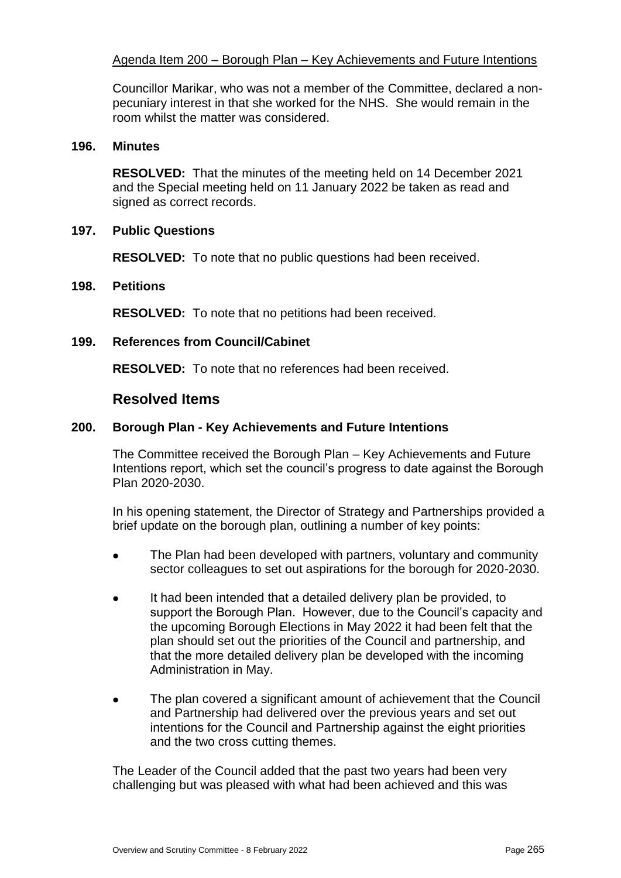# Agenda Item 200 – Borough Plan – Key Achievements and Future Intentions

Councillor Marikar, who was not a member of the Committee, declared a nonpecuniary interest in that she worked for the NHS. She would remain in the room whilst the matter was considered.

#### **196. Minutes**

**RESOLVED:** That the minutes of the meeting held on 14 December 2021 and the Special meeting held on 11 January 2022 be taken as read and signed as correct records.

#### **197. Public Questions**

**RESOLVED:** To note that no public questions had been received.

#### **198. Petitions**

**RESOLVED:** To note that no petitions had been received.

#### **199. References from Council/Cabinet**

**RESOLVED:** To note that no references had been received.

### **Resolved Items**

#### **200. Borough Plan - Key Achievements and Future Intentions**

The Committee received the Borough Plan – Key Achievements and Future Intentions report, which set the council's progress to date against the Borough Plan 2020-2030.

In his opening statement, the Director of Strategy and Partnerships provided a brief update on the borough plan, outlining a number of key points:

- The Plan had been developed with partners, voluntary and community sector colleagues to set out aspirations for the borough for 2020-2030.
- It had been intended that a detailed delivery plan be provided, to support the Borough Plan. However, due to the Council's capacity and the upcoming Borough Elections in May 2022 it had been felt that the plan should set out the priorities of the Council and partnership, and that the more detailed delivery plan be developed with the incoming Administration in May.
- The plan covered a significant amount of achievement that the Council and Partnership had delivered over the previous years and set out intentions for the Council and Partnership against the eight priorities and the two cross cutting themes.

The Leader of the Council added that the past two years had been very challenging but was pleased with what had been achieved and this was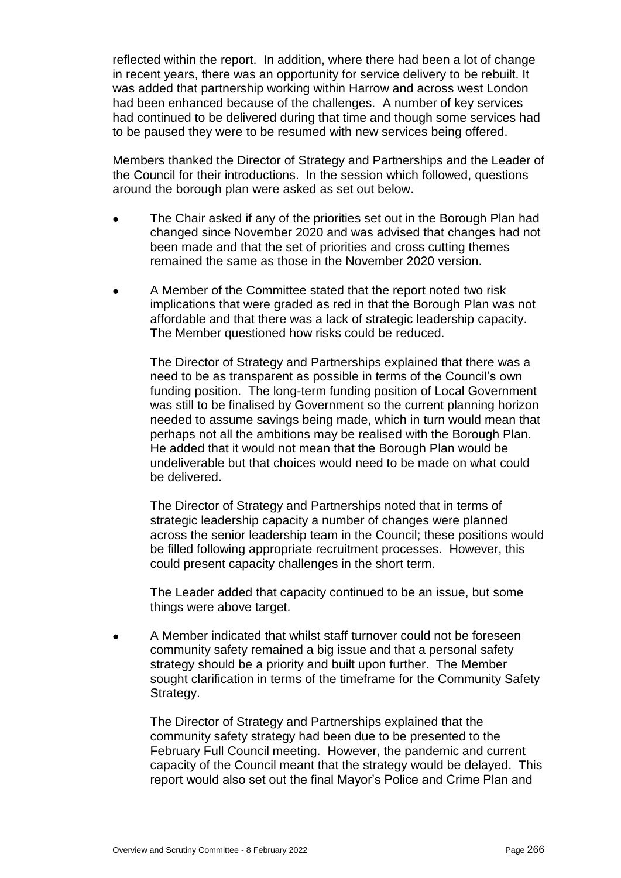reflected within the report. In addition, where there had been a lot of change in recent years, there was an opportunity for service delivery to be rebuilt. It was added that partnership working within Harrow and across west London had been enhanced because of the challenges. A number of key services had continued to be delivered during that time and though some services had to be paused they were to be resumed with new services being offered.

Members thanked the Director of Strategy and Partnerships and the Leader of the Council for their introductions. In the session which followed, questions around the borough plan were asked as set out below.

- The Chair asked if any of the priorities set out in the Borough Plan had changed since November 2020 and was advised that changes had not been made and that the set of priorities and cross cutting themes remained the same as those in the November 2020 version.
- A Member of the Committee stated that the report noted two risk implications that were graded as red in that the Borough Plan was not affordable and that there was a lack of strategic leadership capacity. The Member questioned how risks could be reduced.

The Director of Strategy and Partnerships explained that there was a need to be as transparent as possible in terms of the Council's own funding position. The long-term funding position of Local Government was still to be finalised by Government so the current planning horizon needed to assume savings being made, which in turn would mean that perhaps not all the ambitions may be realised with the Borough Plan. He added that it would not mean that the Borough Plan would be undeliverable but that choices would need to be made on what could be delivered.

The Director of Strategy and Partnerships noted that in terms of strategic leadership capacity a number of changes were planned across the senior leadership team in the Council; these positions would be filled following appropriate recruitment processes. However, this could present capacity challenges in the short term.

The Leader added that capacity continued to be an issue, but some things were above target.

 A Member indicated that whilst staff turnover could not be foreseen community safety remained a big issue and that a personal safety strategy should be a priority and built upon further. The Member sought clarification in terms of the timeframe for the Community Safety Strategy.

The Director of Strategy and Partnerships explained that the community safety strategy had been due to be presented to the February Full Council meeting. However, the pandemic and current capacity of the Council meant that the strategy would be delayed. This report would also set out the final Mayor's Police and Crime Plan and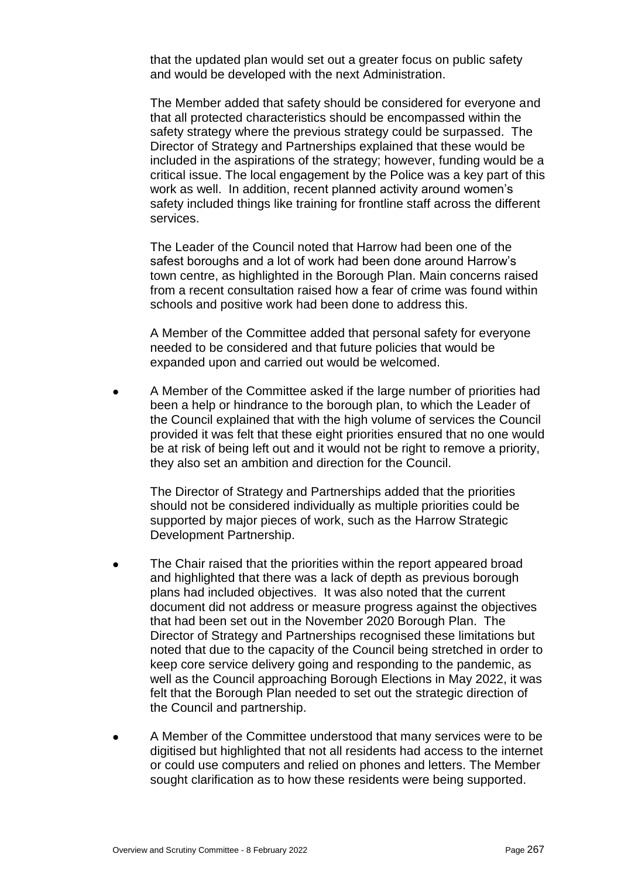that the updated plan would set out a greater focus on public safety and would be developed with the next Administration.

The Member added that safety should be considered for everyone and that all protected characteristics should be encompassed within the safety strategy where the previous strategy could be surpassed. The Director of Strategy and Partnerships explained that these would be included in the aspirations of the strategy; however, funding would be a critical issue. The local engagement by the Police was a key part of this work as well. In addition, recent planned activity around women's safety included things like training for frontline staff across the different services.

The Leader of the Council noted that Harrow had been one of the safest boroughs and a lot of work had been done around Harrow's town centre, as highlighted in the Borough Plan. Main concerns raised from a recent consultation raised how a fear of crime was found within schools and positive work had been done to address this.

A Member of the Committee added that personal safety for everyone needed to be considered and that future policies that would be expanded upon and carried out would be welcomed.

 A Member of the Committee asked if the large number of priorities had been a help or hindrance to the borough plan, to which the Leader of the Council explained that with the high volume of services the Council provided it was felt that these eight priorities ensured that no one would be at risk of being left out and it would not be right to remove a priority, they also set an ambition and direction for the Council.

The Director of Strategy and Partnerships added that the priorities should not be considered individually as multiple priorities could be supported by major pieces of work, such as the Harrow Strategic Development Partnership.

- The Chair raised that the priorities within the report appeared broad and highlighted that there was a lack of depth as previous borough plans had included objectives. It was also noted that the current document did not address or measure progress against the objectives that had been set out in the November 2020 Borough Plan. The Director of Strategy and Partnerships recognised these limitations but noted that due to the capacity of the Council being stretched in order to keep core service delivery going and responding to the pandemic, as well as the Council approaching Borough Elections in May 2022, it was felt that the Borough Plan needed to set out the strategic direction of the Council and partnership.
- A Member of the Committee understood that many services were to be digitised but highlighted that not all residents had access to the internet or could use computers and relied on phones and letters. The Member sought clarification as to how these residents were being supported.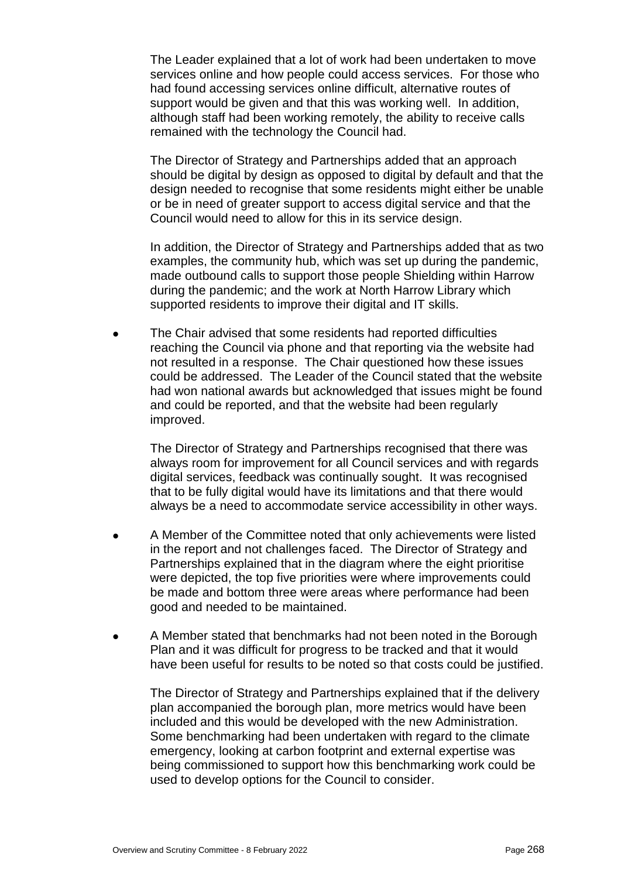The Leader explained that a lot of work had been undertaken to move services online and how people could access services. For those who had found accessing services online difficult, alternative routes of support would be given and that this was working well. In addition, although staff had been working remotely, the ability to receive calls remained with the technology the Council had.

The Director of Strategy and Partnerships added that an approach should be digital by design as opposed to digital by default and that the design needed to recognise that some residents might either be unable or be in need of greater support to access digital service and that the Council would need to allow for this in its service design.

In addition, the Director of Strategy and Partnerships added that as two examples, the community hub, which was set up during the pandemic, made outbound calls to support those people Shielding within Harrow during the pandemic; and the work at North Harrow Library which supported residents to improve their digital and IT skills.

 The Chair advised that some residents had reported difficulties reaching the Council via phone and that reporting via the website had not resulted in a response. The Chair questioned how these issues could be addressed. The Leader of the Council stated that the website had won national awards but acknowledged that issues might be found and could be reported, and that the website had been regularly improved.

The Director of Strategy and Partnerships recognised that there was always room for improvement for all Council services and with regards digital services, feedback was continually sought. It was recognised that to be fully digital would have its limitations and that there would always be a need to accommodate service accessibility in other ways.

- A Member of the Committee noted that only achievements were listed in the report and not challenges faced. The Director of Strategy and Partnerships explained that in the diagram where the eight prioritise were depicted, the top five priorities were where improvements could be made and bottom three were areas where performance had been good and needed to be maintained.
- A Member stated that benchmarks had not been noted in the Borough Plan and it was difficult for progress to be tracked and that it would have been useful for results to be noted so that costs could be justified.

The Director of Strategy and Partnerships explained that if the delivery plan accompanied the borough plan, more metrics would have been included and this would be developed with the new Administration. Some benchmarking had been undertaken with regard to the climate emergency, looking at carbon footprint and external expertise was being commissioned to support how this benchmarking work could be used to develop options for the Council to consider.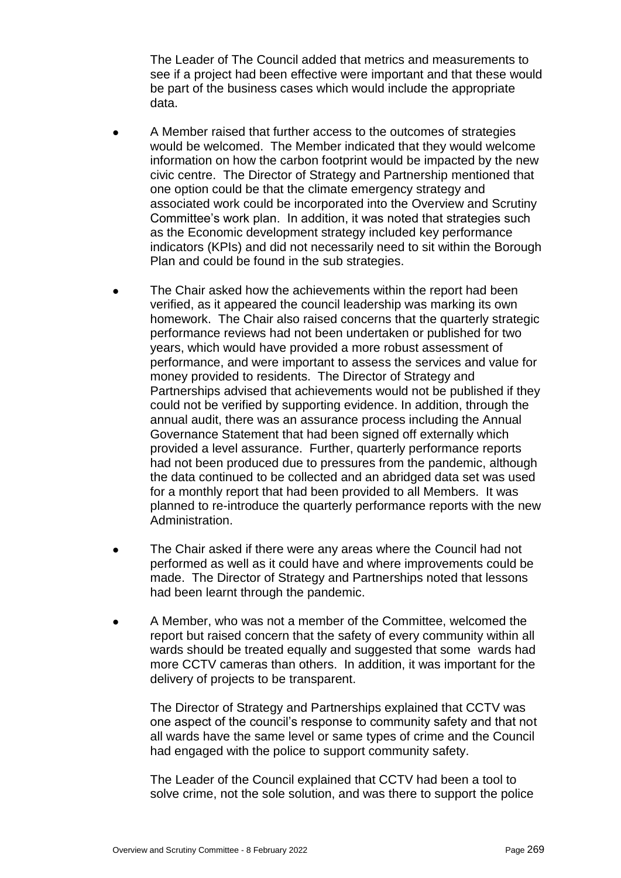The Leader of The Council added that metrics and measurements to see if a project had been effective were important and that these would be part of the business cases which would include the appropriate data.

- A Member raised that further access to the outcomes of strategies would be welcomed. The Member indicated that they would welcome information on how the carbon footprint would be impacted by the new civic centre. The Director of Strategy and Partnership mentioned that one option could be that the climate emergency strategy and associated work could be incorporated into the Overview and Scrutiny Committee's work plan. In addition, it was noted that strategies such as the Economic development strategy included key performance indicators (KPIs) and did not necessarily need to sit within the Borough Plan and could be found in the sub strategies.
- The Chair asked how the achievements within the report had been verified, as it appeared the council leadership was marking its own homework. The Chair also raised concerns that the quarterly strategic performance reviews had not been undertaken or published for two years, which would have provided a more robust assessment of performance, and were important to assess the services and value for money provided to residents. The Director of Strategy and Partnerships advised that achievements would not be published if they could not be verified by supporting evidence. In addition, through the annual audit, there was an assurance process including the Annual Governance Statement that had been signed off externally which provided a level assurance. Further, quarterly performance reports had not been produced due to pressures from the pandemic, although the data continued to be collected and an abridged data set was used for a monthly report that had been provided to all Members. It was planned to re-introduce the quarterly performance reports with the new Administration.
- The Chair asked if there were any areas where the Council had not performed as well as it could have and where improvements could be made. The Director of Strategy and Partnerships noted that lessons had been learnt through the pandemic.
- A Member, who was not a member of the Committee, welcomed the report but raised concern that the safety of every community within all wards should be treated equally and suggested that some wards had more CCTV cameras than others. In addition, it was important for the delivery of projects to be transparent.

The Director of Strategy and Partnerships explained that CCTV was one aspect of the council's response to community safety and that not all wards have the same level or same types of crime and the Council had engaged with the police to support community safety.

The Leader of the Council explained that CCTV had been a tool to solve crime, not the sole solution, and was there to support the police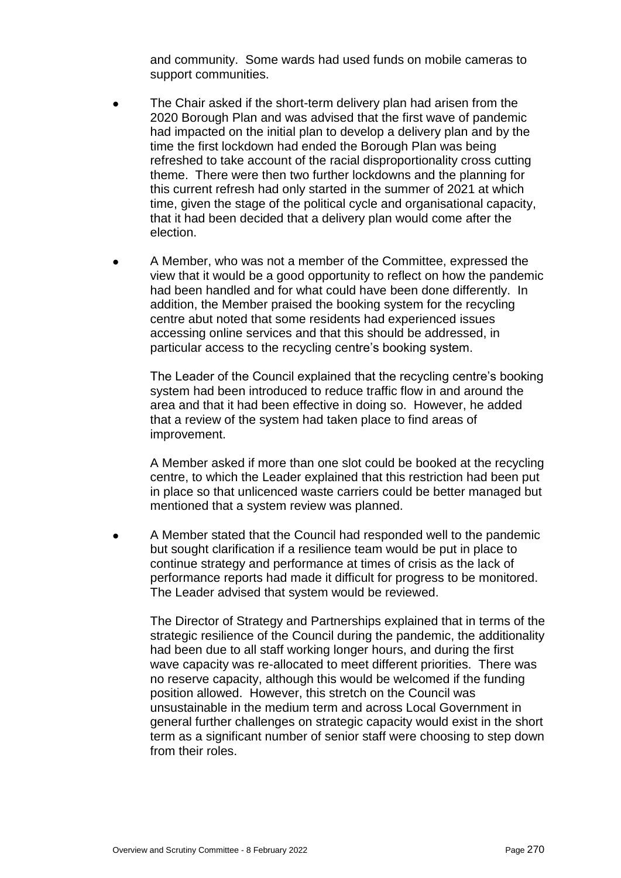and community. Some wards had used funds on mobile cameras to support communities.

- The Chair asked if the short-term delivery plan had arisen from the 2020 Borough Plan and was advised that the first wave of pandemic had impacted on the initial plan to develop a delivery plan and by the time the first lockdown had ended the Borough Plan was being refreshed to take account of the racial disproportionality cross cutting theme. There were then two further lockdowns and the planning for this current refresh had only started in the summer of 2021 at which time, given the stage of the political cycle and organisational capacity, that it had been decided that a delivery plan would come after the election.
- A Member, who was not a member of the Committee, expressed the view that it would be a good opportunity to reflect on how the pandemic had been handled and for what could have been done differently. In addition, the Member praised the booking system for the recycling centre abut noted that some residents had experienced issues accessing online services and that this should be addressed, in particular access to the recycling centre's booking system.

The Leader of the Council explained that the recycling centre's booking system had been introduced to reduce traffic flow in and around the area and that it had been effective in doing so. However, he added that a review of the system had taken place to find areas of improvement.

A Member asked if more than one slot could be booked at the recycling centre, to which the Leader explained that this restriction had been put in place so that unlicenced waste carriers could be better managed but mentioned that a system review was planned.

 A Member stated that the Council had responded well to the pandemic but sought clarification if a resilience team would be put in place to continue strategy and performance at times of crisis as the lack of performance reports had made it difficult for progress to be monitored. The Leader advised that system would be reviewed.

The Director of Strategy and Partnerships explained that in terms of the strategic resilience of the Council during the pandemic, the additionality had been due to all staff working longer hours, and during the first wave capacity was re-allocated to meet different priorities. There was no reserve capacity, although this would be welcomed if the funding position allowed. However, this stretch on the Council was unsustainable in the medium term and across Local Government in general further challenges on strategic capacity would exist in the short term as a significant number of senior staff were choosing to step down from their roles.